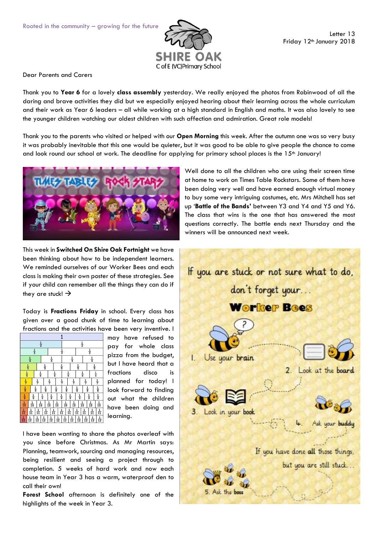

Dear Parents and Carers

Thank you to **Year 6** for a lovely **class assembly** yesterday. We really enjoyed the photos from Robinwood of all the daring and brave activities they did but we especially enjoyed hearing about their learning across the whole curriculum and their work as Year 6 leaders – all while working at a high standard in English and maths. It was also lovely to see the younger children watching our oldest children with such affection and admiration. Great role models!

Thank you to the parents who visited or helped with our **Open Morning** this week. After the autumn one was so very busy it was probably inevitable that this one would be quieter, but it was good to be able to give people the chance to come and look round our school at work. The deadline for applying for primary school places is the 15<sup>th</sup> January!



This week in **Switched On Shire Oak Fortnight** we have been thinking about how to be independent learners. We reminded ourselves of our Worker Bees and each class is making their own poster of these strategies. See if your child can remember all the things they can do if they are stuck!  $\rightarrow$ 

Today is **Fractions Friday** in school. Every class has given over a good chunk of time to learning about fractions and the activities have been very inventive. I



may have refused to pay for whole class pizza from the budget, but I have heard that a fractions disco is planned for today! I look forward to finding out what the children have been doing and learning.

I have been wanting to share the photos overleaf with you since before Christmas. As Mr Martin says: Planning, teamwork, sourcing and managing resources, being resilient and seeing a project through to completion. 5 weeks of hard work and now each house team in Year 3 has a warm, waterproof den to call their own!

**Forest School** afternoon is definitely one of the highlights of the week in Year 3.

Well done to all the children who are using their screen time at home to work on Times Table Rockstars. Some of them have been doing very well and have earned enough virtual money to buy some very intriguing costumes, etc. Mrs Mitchell has set up '**Battle of the Bands'** between Y3 and Y4 and Y5 and Y6. The class that wins is the one that has answered the most questions correctly. The battle ends next Thursday and the winners will be announced next week.

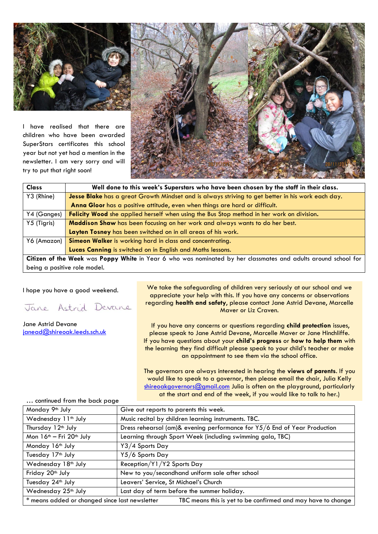

I have realised that there are children who have been awarded SuperStars certificates this school year but not yet had a mention in the newsletter. I am very sorry and will try to put that right soon!



| <b>Class</b>                                                                                                   | Well done to this week's Superstars who have been chosen by the staff in their class.             |  |
|----------------------------------------------------------------------------------------------------------------|---------------------------------------------------------------------------------------------------|--|
| Y3 (Rhine)                                                                                                     | Jesse Blake has a great Growth Mindset and is always striving to get better in his work each day. |  |
|                                                                                                                | Anna Gloor has a positive attitude, even when things are hard or difficult.                       |  |
| Y4 (Ganges)                                                                                                    | <b>Felicity Wood</b> she applied herself when using the Bus Stop method in her work on division.  |  |
| Y5 (Tigris)                                                                                                    | Maddison Shaw has been focusing on her work and always wants to do her best.                      |  |
|                                                                                                                | Layten Tosney has been switched on in all areas of his work.                                      |  |
| Y6 (Amazon)                                                                                                    | Simeon Walker is working hard in class and concentrating.                                         |  |
|                                                                                                                | Lucas Canning is switched on in English and Maths lessons.                                        |  |
| Citizen of the Week was Poppy White in Year 6 who was nominated by her classmates and adults around school for |                                                                                                   |  |

being a positive role model.

I hope you have a good weekend.

Jane Astrid Devane

Jane Astrid Devane [janead@shireoak.leeds.sch.uk](mailto:janead@shireoak.leeds.sch.uk)

We take the safeguarding of children very seriously at our school and we appreciate your help with this. If you have any concerns or observations regarding **health and safety**, please contact Jane Astrid Devane, Marcelle Maver or Liz Craven.

If you have any concerns or questions regarding **child protection** issues, please speak to Jane Astrid Devane, Marcelle Maver or Jane Hinchliffe. If you have questions about your **child's progress** or **how to help them** with the learning they find difficult please speak to your child's teacher or make an appointment to see them via the school office.

The governors are always interested in hearing the **views of parents**. If you would like to speak to a governor, then please email the chair, Julia Kelly [shireoakgovernors@gmail.com](mailto:shireoakgovernors@gmail.com) Julia is often on the playground, particularly at the start and end of the week, if you would like to talk to her.)

| Monday 9th July                                                                                                | Give out reports to parents this week.                                    |  |  |
|----------------------------------------------------------------------------------------------------------------|---------------------------------------------------------------------------|--|--|
| Wednesday 11 <sup>th</sup> July                                                                                | Music recital by children learning instruments. TBC.                      |  |  |
| Thursday 12 <sup>th</sup> July                                                                                 | Dress rehearsal (am)& evening performance for Y5/6 End of Year Production |  |  |
| Mon 16 <sup>th</sup> - Fri 20 <sup>th</sup> July                                                               | Learning through Sport Week (including swimming gala, TBC)                |  |  |
| Monday 16 <sup>th</sup> July                                                                                   | Y3/4 Sports Day                                                           |  |  |
| Tuesday 17 <sup>th</sup> July                                                                                  | Y5/6 Sports Day                                                           |  |  |
| Wednesday 18 <sup>th</sup> July                                                                                | Reception/Y1/Y2 Sports Day                                                |  |  |
| Friday 20th July                                                                                               | New to you/secondhand uniform sale after school                           |  |  |
| Tuesday 24 <sup>th</sup> July                                                                                  | Leavers' Service, St Michael's Church                                     |  |  |
| Wednesday 25 <sup>th</sup> July                                                                                | Last day of term before the summer holiday.                               |  |  |
| * means added or changed since last newsletter<br>TBC means this is yet to be confirmed and may have to change |                                                                           |  |  |

… continued from the back page